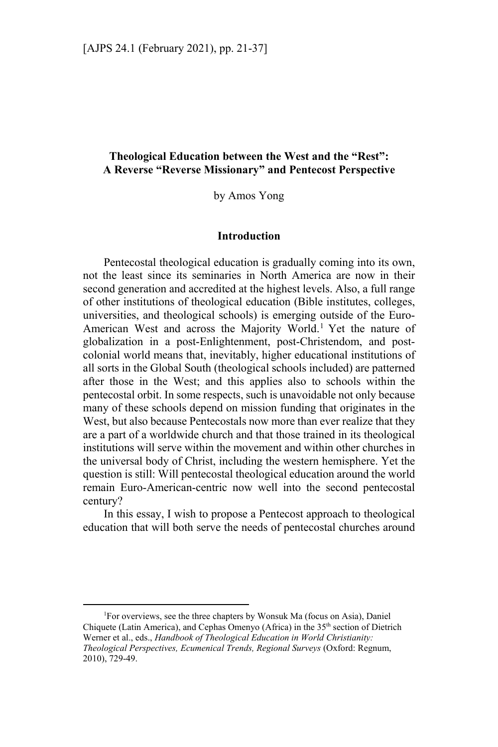## **Theological Education between the West and the "Rest": A Reverse "Reverse Missionary" and Pentecost Perspective**

by Amos Yong

### **Introduction**

Pentecostal theological education is gradually coming into its own, not the least since its seminaries in North America are now in their second generation and accredited at the highest levels. Also, a full range of other institutions of theological education (Bible institutes, colleges, universities, and theological schools) is emerging outside of the Euro-American West and across the Majority World.<sup>1</sup> Yet the nature of globalization in a post-Enlightenment, post-Christendom, and postcolonial world means that, inevitably, higher educational institutions of all sorts in the Global South (theological schools included) are patterned after those in the West; and this applies also to schools within the pentecostal orbit. In some respects, such is unavoidable not only because many of these schools depend on mission funding that originates in the West, but also because Pentecostals now more than ever realize that they are a part of a worldwide church and that those trained in its theological institutions will serve within the movement and within other churches in the universal body of Christ, including the western hemisphere. Yet the question is still: Will pentecostal theological education around the world remain Euro-American-centric now well into the second pentecostal century?

In this essay, I wish to propose a Pentecost approach to theological education that will both serve the needs of pentecostal churches around

 $\frac{1}{1}$ For overviews, see the three chapters by Wonsuk Ma (focus on Asia), Daniel Chiquete (Latin America), and Cephas Omenyo (Africa) in the 35<sup>th</sup> section of Dietrich Werner et al., eds., *Handbook of Theological Education in World Christianity: Theological Perspectives, Ecumenical Trends, Regional Surveys* (Oxford: Regnum, 2010), 729-49.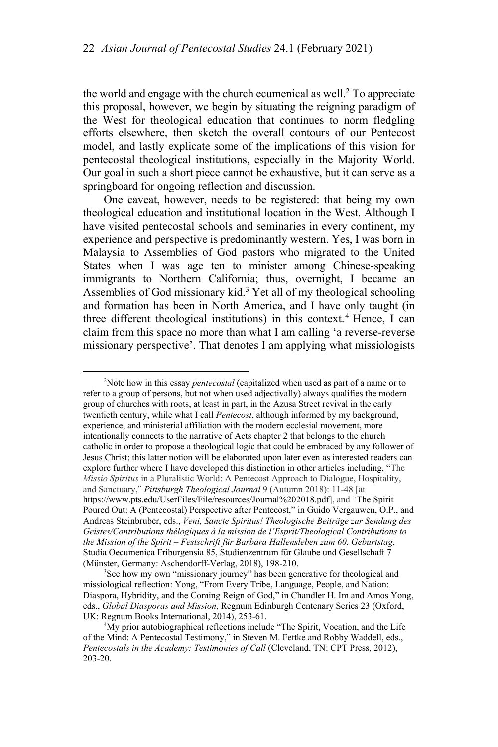the world and engage with the church ecumenical as well.<sup>2</sup> To appreciate this proposal, however, we begin by situating the reigning paradigm of the West for theological education that continues to norm fledgling efforts elsewhere, then sketch the overall contours of our Pentecost model, and lastly explicate some of the implications of this vision for pentecostal theological institutions, especially in the Majority World. Our goal in such a short piece cannot be exhaustive, but it can serve as a springboard for ongoing reflection and discussion.

One caveat, however, needs to be registered: that being my own theological education and institutional location in the West. Although I have visited pentecostal schools and seminaries in every continent, my experience and perspective is predominantly western. Yes, I was born in Malaysia to Assemblies of God pastors who migrated to the United States when I was age ten to minister among Chinese-speaking immigrants to Northern California; thus, overnight, I became an Assemblies of God missionary kid.<sup>3</sup> Yet all of my theological schooling and formation has been in North America, and I have only taught (in three different theological institutions) in this context.<sup>4</sup> Hence, I can claim from this space no more than what I am calling 'a reverse-reverse missionary perspective'. That denotes I am applying what missiologists

 $\overline{a}$ Note how in this essay *pentecostal* (capitalized when used as part of a name or to refer to a group of persons, but not when used adjectivally) always qualifies the modern group of churches with roots, at least in part, in the Azusa Street revival in the early twentieth century, while what I call *Pentecost*, although informed by my background, experience, and ministerial affiliation with the modern ecclesial movement, more intentionally connects to the narrative of Acts chapter 2 that belongs to the church catholic in order to propose a theological logic that could be embraced by any follower of Jesus Christ; this latter notion will be elaborated upon later even as interested readers can explore further where I have developed this distinction in other articles including, "The *Missio Spiritus* in a Pluralistic World: A Pentecost Approach to Dialogue, Hospitality, and Sanctuary," *Pittsburgh Theological Journal* 9 (Autumn 2018): 11-48 [at https://www.pts.edu/UserFiles/File/resources/Journal%202018.pdf], and "The Spirit Poured Out: A (Pentecostal) Perspective after Pentecost," in Guido Vergauwen, O.P., and Andreas Steinbruber, eds., *Veni, Sancte Spiritus! Theologische Beiträge zur Sendung des Geistes/Contributions thélogiques à la mission de l'Esprit/Theological Contributions to the Mission of the Spirit – Festschrift für Barbara Hallensleben zum 60. Geburtstag*, Studia Oecumenica Friburgensia 85, Studienzentrum für Glaube und Gesellschaft 7 (Münster, Germany: Aschendorff-Verlag, 2018), 198-210.

<sup>&</sup>lt;sup>3</sup>See how my own "missionary journey" has been generative for theological and missiological reflection: Yong, "From Every Tribe, Language, People, and Nation: Diaspora, Hybridity, and the Coming Reign of God," in Chandler H. Im and Amos Yong, eds., *Global Diasporas and Mission*, Regnum Edinburgh Centenary Series 23 (Oxford, UK: Regnum Books International, 2014), 253-61.

<sup>&</sup>lt;sup>4</sup>My prior autobiographical reflections include "The Spirit, Vocation, and the Life of the Mind: A Pentecostal Testimony," in Steven M. Fettke and Robby Waddell, eds., *Pentecostals in the Academy: Testimonies of Call* (Cleveland, TN: CPT Press, 2012), 203-20.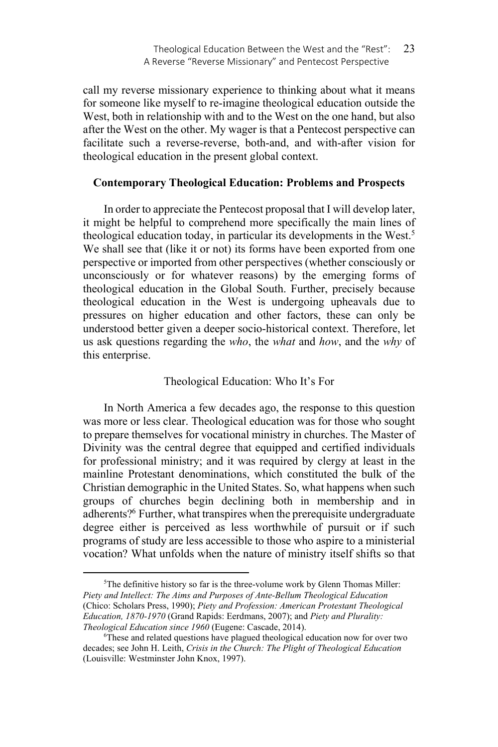call my reverse missionary experience to thinking about what it means for someone like myself to re-imagine theological education outside the West, both in relationship with and to the West on the one hand, but also after the West on the other. My wager is that a Pentecost perspective can facilitate such a reverse-reverse, both-and, and with-after vision for theological education in the present global context.

### **Contemporary Theological Education: Problems and Prospects**

In order to appreciate the Pentecost proposal that I will develop later, it might be helpful to comprehend more specifically the main lines of theological education today, in particular its developments in the West.5 We shall see that (like it or not) its forms have been exported from one perspective or imported from other perspectives (whether consciously or unconsciously or for whatever reasons) by the emerging forms of theological education in the Global South. Further, precisely because theological education in the West is undergoing upheavals due to pressures on higher education and other factors, these can only be understood better given a deeper socio-historical context. Therefore, let us ask questions regarding the *who*, the *what* and *how*, and the *why* of this enterprise.

#### Theological Education: Who It's For

In North America a few decades ago, the response to this question was more or less clear. Theological education was for those who sought to prepare themselves for vocational ministry in churches. The Master of Divinity was the central degree that equipped and certified individuals for professional ministry; and it was required by clergy at least in the mainline Protestant denominations, which constituted the bulk of the Christian demographic in the United States. So, what happens when such groups of churches begin declining both in membership and in adherents?<sup>6</sup> Further, what transpires when the prerequisite undergraduate degree either is perceived as less worthwhile of pursuit or if such programs of study are less accessible to those who aspire to a ministerial vocation? What unfolds when the nature of ministry itself shifts so that

 $\frac{1}{5}$ <sup>5</sup>The definitive history so far is the three-volume work by Glenn Thomas Miller: *Piety and Intellect: The Aims and Purposes of Ante-Bellum Theological Education*  (Chico: Scholars Press, 1990); *Piety and Profession: American Protestant Theological Education, 1870-1970* (Grand Rapids: Eerdmans, 2007); and *Piety and Plurality: Theological Education since 1960* (Eugene: Cascade, 2014).

These and related questions have plagued theological education now for over two decades; see John H. Leith, *Crisis in the Church: The Plight of Theological Education* (Louisville: Westminster John Knox, 1997).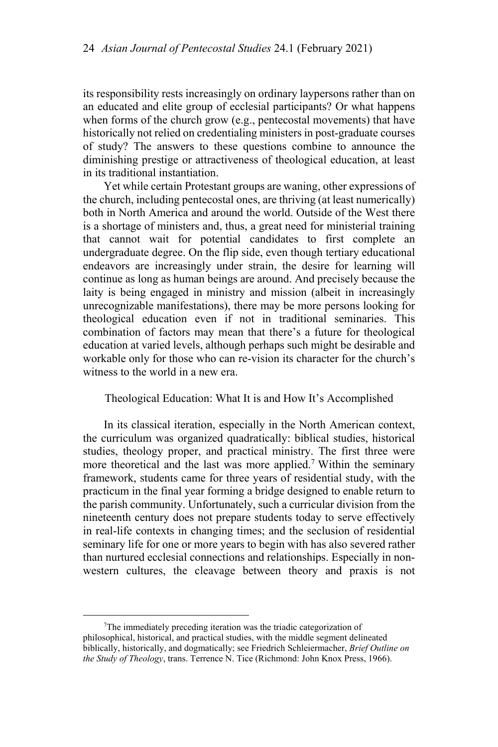its responsibility rests increasingly on ordinary laypersons rather than on an educated and elite group of ecclesial participants? Or what happens when forms of the church grow (e.g., pentecostal movements) that have historically not relied on credentialing ministers in post-graduate courses of study? The answers to these questions combine to announce the diminishing prestige or attractiveness of theological education, at least in its traditional instantiation.

Yet while certain Protestant groups are waning, other expressions of the church, including pentecostal ones, are thriving (at least numerically) both in North America and around the world. Outside of the West there is a shortage of ministers and, thus, a great need for ministerial training that cannot wait for potential candidates to first complete an undergraduate degree. On the flip side, even though tertiary educational endeavors are increasingly under strain, the desire for learning will continue as long as human beings are around. And precisely because the laity is being engaged in ministry and mission (albeit in increasingly unrecognizable manifestations), there may be more persons looking for theological education even if not in traditional seminaries. This combination of factors may mean that there's a future for theological education at varied levels, although perhaps such might be desirable and workable only for those who can re-vision its character for the church's witness to the world in a new era.

Theological Education: What It is and How It's Accomplished

In its classical iteration, especially in the North American context, the curriculum was organized quadratically: biblical studies, historical studies, theology proper, and practical ministry. The first three were more theoretical and the last was more applied.<sup>7</sup> Within the seminary framework, students came for three years of residential study, with the practicum in the final year forming a bridge designed to enable return to the parish community. Unfortunately, such a curricular division from the nineteenth century does not prepare students today to serve effectively in real-life contexts in changing times; and the seclusion of residential seminary life for one or more years to begin with has also severed rather than nurtured ecclesial connections and relationships. Especially in nonwestern cultures, the cleavage between theory and praxis is not

 $\frac{1}{7}$  $T$ The immediately preceding iteration was the triadic categorization of philosophical, historical, and practical studies, with the middle segment delineated biblically, historically, and dogmatically; see Friedrich Schleiermacher, *Brief Outline on the Study of Theology*, trans. Terrence N. Tice (Richmond: John Knox Press, 1966).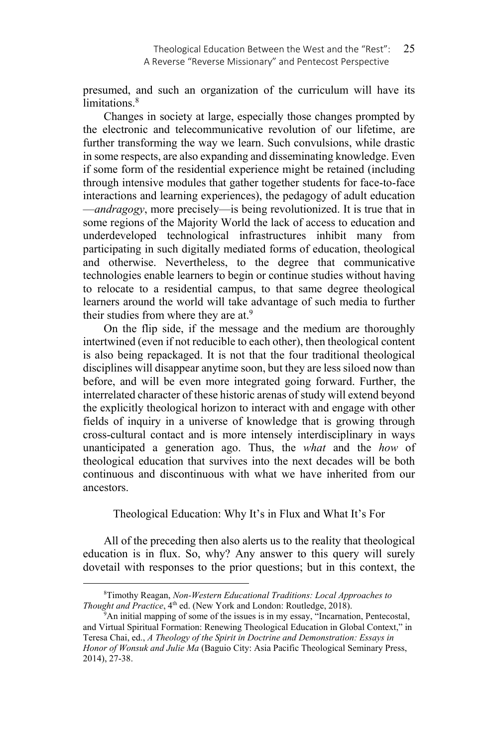presumed, and such an organization of the curriculum will have its limitations.<sup>8</sup>

Changes in society at large, especially those changes prompted by the electronic and telecommunicative revolution of our lifetime, are further transforming the way we learn. Such convulsions, while drastic in some respects, are also expanding and disseminating knowledge. Even if some form of the residential experience might be retained (including through intensive modules that gather together students for face-to-face interactions and learning experiences), the pedagogy of adult education —*andragogy*, more precisely—is being revolutionized. It is true that in some regions of the Majority World the lack of access to education and underdeveloped technological infrastructures inhibit many from participating in such digitally mediated forms of education, theological and otherwise. Nevertheless, to the degree that communicative technologies enable learners to begin or continue studies without having to relocate to a residential campus, to that same degree theological learners around the world will take advantage of such media to further their studies from where they are at.<sup>9</sup>

On the flip side, if the message and the medium are thoroughly intertwined (even if not reducible to each other), then theological content is also being repackaged. It is not that the four traditional theological disciplines will disappear anytime soon, but they are less siloed now than before, and will be even more integrated going forward. Further, the interrelated character of these historic arenas of study will extend beyond the explicitly theological horizon to interact with and engage with other fields of inquiry in a universe of knowledge that is growing through cross-cultural contact and is more intensely interdisciplinary in ways unanticipated a generation ago. Thus, the *what* and the *how* of theological education that survives into the next decades will be both continuous and discontinuous with what we have inherited from our ancestors.

Theological Education: Why It's in Flux and What It's For

All of the preceding then also alerts us to the reality that theological education is in flux. So, why? Any answer to this query will surely dovetail with responses to the prior questions; but in this context, the

 $\frac{1}{8}$ Timothy Reagan, *Non-Western Educational Traditions: Local Approaches to Thought and Practice*, 4<sup>th</sup> ed. (New York and London: Routledge, 2018).

An initial mapping of some of the issues is in my essay, "Incarnation, Pentecostal, and Virtual Spiritual Formation: Renewing Theological Education in Global Context," in Teresa Chai, ed., *A Theology of the Spirit in Doctrine and Demonstration: Essays in Honor of Wonsuk and Julie Ma* (Baguio City: Asia Pacific Theological Seminary Press, 2014), 27-38.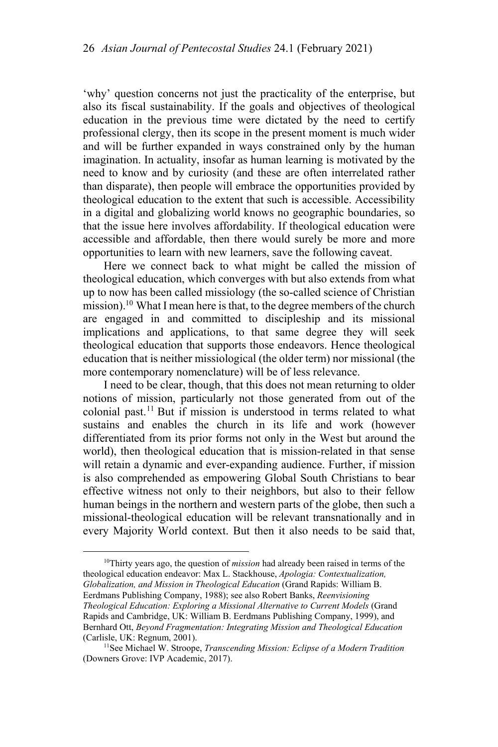'why' question concerns not just the practicality of the enterprise, but also its fiscal sustainability. If the goals and objectives of theological education in the previous time were dictated by the need to certify professional clergy, then its scope in the present moment is much wider and will be further expanded in ways constrained only by the human imagination. In actuality, insofar as human learning is motivated by the need to know and by curiosity (and these are often interrelated rather than disparate), then people will embrace the opportunities provided by theological education to the extent that such is accessible. Accessibility in a digital and globalizing world knows no geographic boundaries, so that the issue here involves affordability. If theological education were accessible and affordable, then there would surely be more and more opportunities to learn with new learners, save the following caveat.

Here we connect back to what might be called the mission of theological education, which converges with but also extends from what up to now has been called missiology (the so-called science of Christian mission).<sup>10</sup> What I mean here is that, to the degree members of the church are engaged in and committed to discipleship and its missional implications and applications, to that same degree they will seek theological education that supports those endeavors. Hence theological education that is neither missiological (the older term) nor missional (the more contemporary nomenclature) will be of less relevance.

I need to be clear, though, that this does not mean returning to older notions of mission, particularly not those generated from out of the colonial past.<sup>11</sup> But if mission is understood in terms related to what sustains and enables the church in its life and work (however differentiated from its prior forms not only in the West but around the world), then theological education that is mission-related in that sense will retain a dynamic and ever-expanding audience. Further, if mission is also comprehended as empowering Global South Christians to bear effective witness not only to their neighbors, but also to their fellow human beings in the northern and western parts of the globe, then such a missional-theological education will be relevant transnationally and in every Majority World context. But then it also needs to be said that,

 <sup>10</sup>Thirty years ago, the question of *mission* had already been raised in terms of the theological education endeavor: Max L. Stackhouse, *Apologia: Contextualization, Globalization, and Mission in Theological Education* (Grand Rapids: William B. Eerdmans Publishing Company, 1988); see also Robert Banks, *Reenvisioning Theological Education: Exploring a Missional Alternative to Current Models* (Grand Rapids and Cambridge, UK: William B. Eerdmans Publishing Company, 1999), and Bernhard Ott, *Beyond Fragmentation: Integrating Mission and Theological Education* (Carlisle, UK: Regnum, 2001).<br><sup>11</sup>See Michael W. Stroope, *Transcending Mission: Eclipse of a Modern Tradition* 

<sup>(</sup>Downers Grove: IVP Academic, 2017).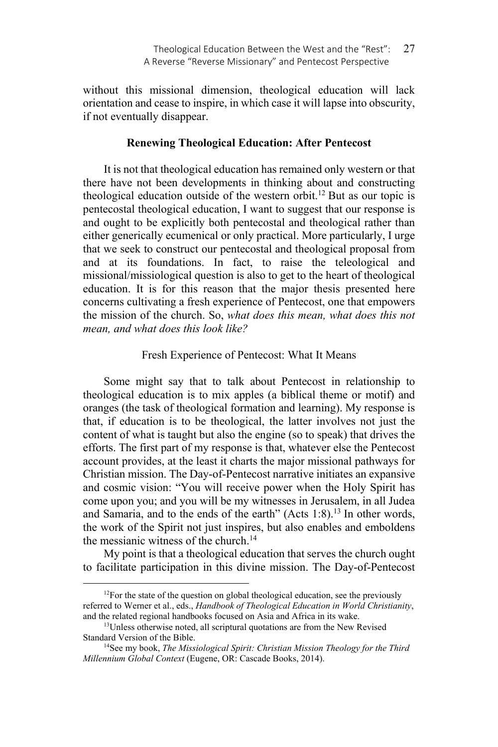without this missional dimension, theological education will lack orientation and cease to inspire, in which case it will lapse into obscurity, if not eventually disappear.

#### **Renewing Theological Education: After Pentecost**

It is not that theological education has remained only western or that there have not been developments in thinking about and constructing theological education outside of the western orbit.<sup>12</sup> But as our topic is pentecostal theological education, I want to suggest that our response is and ought to be explicitly both pentecostal and theological rather than either generically ecumenical or only practical. More particularly, I urge that we seek to construct our pentecostal and theological proposal from and at its foundations. In fact, to raise the teleological and missional/missiological question is also to get to the heart of theological education. It is for this reason that the major thesis presented here concerns cultivating a fresh experience of Pentecost, one that empowers the mission of the church. So, *what does this mean, what does this not mean, and what does this look like?* 

### Fresh Experience of Pentecost: What It Means

Some might say that to talk about Pentecost in relationship to theological education is to mix apples (a biblical theme or motif) and oranges (the task of theological formation and learning). My response is that, if education is to be theological, the latter involves not just the content of what is taught but also the engine (so to speak) that drives the efforts. The first part of my response is that, whatever else the Pentecost account provides, at the least it charts the major missional pathways for Christian mission. The Day-of-Pentecost narrative initiates an expansive and cosmic vision: "You will receive power when the Holy Spirit has come upon you; and you will be my witnesses in Jerusalem, in all Judea and Samaria, and to the ends of the earth" (Acts  $1:8$ ).<sup>13</sup> In other words, the work of the Spirit not just inspires, but also enables and emboldens the messianic witness of the church.<sup>14</sup>

My point is that a theological education that serves the church ought to facilitate participation in this divine mission. The Day-of-Pentecost

 $12$ For the state of the question on global theological education, see the previously referred to Werner et al., eds., *Handbook of Theological Education in World Christianity*,

<sup>&</sup>lt;sup>13</sup>Unless otherwise noted, all scriptural quotations are from the New Revised Standard Version of the Bible.<br><sup>14</sup>See my book, *The Missiological Spirit: Christian Mission Theology for the Third* 

*Millennium Global Context* (Eugene, OR: Cascade Books, 2014).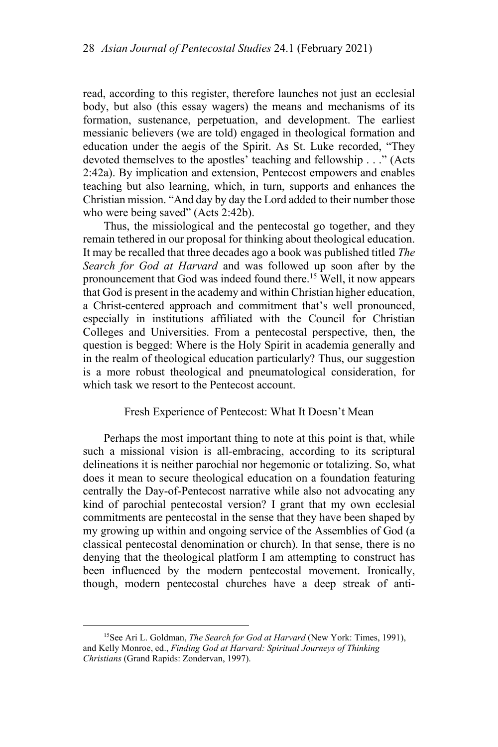read, according to this register, therefore launches not just an ecclesial body, but also (this essay wagers) the means and mechanisms of its formation, sustenance, perpetuation, and development. The earliest messianic believers (we are told) engaged in theological formation and education under the aegis of the Spirit. As St. Luke recorded, "They devoted themselves to the apostles' teaching and fellowship . . ." (Acts 2:42a). By implication and extension, Pentecost empowers and enables teaching but also learning, which, in turn, supports and enhances the Christian mission. "And day by day the Lord added to their number those who were being saved" (Acts 2:42b).

Thus, the missiological and the pentecostal go together, and they remain tethered in our proposal for thinking about theological education. It may be recalled that three decades ago a book was published titled *The Search for God at Harvard* and was followed up soon after by the pronouncement that God was indeed found there.<sup>15</sup> Well, it now appears that God is present in the academy and within Christian higher education, a Christ-centered approach and commitment that's well pronounced, especially in institutions affiliated with the Council for Christian Colleges and Universities. From a pentecostal perspective, then, the question is begged: Where is the Holy Spirit in academia generally and in the realm of theological education particularly? Thus, our suggestion is a more robust theological and pneumatological consideration, for which task we resort to the Pentecost account.

## Fresh Experience of Pentecost: What It Doesn't Mean

Perhaps the most important thing to note at this point is that, while such a missional vision is all-embracing, according to its scriptural delineations it is neither parochial nor hegemonic or totalizing. So, what does it mean to secure theological education on a foundation featuring centrally the Day-of-Pentecost narrative while also not advocating any kind of parochial pentecostal version? I grant that my own ecclesial commitments are pentecostal in the sense that they have been shaped by my growing up within and ongoing service of the Assemblies of God (a classical pentecostal denomination or church). In that sense, there is no denying that the theological platform I am attempting to construct has been influenced by the modern pentecostal movement. Ironically, though, modern pentecostal churches have a deep streak of anti-

<sup>&</sup>lt;sup>15</sup>See Ari L. Goldman, *The Search for God at Harvard* (New York: Times, 1991), and Kelly Monroe, ed., *Finding God at Harvard: Spiritual Journeys of Thinking Christians* (Grand Rapids: Zondervan, 1997).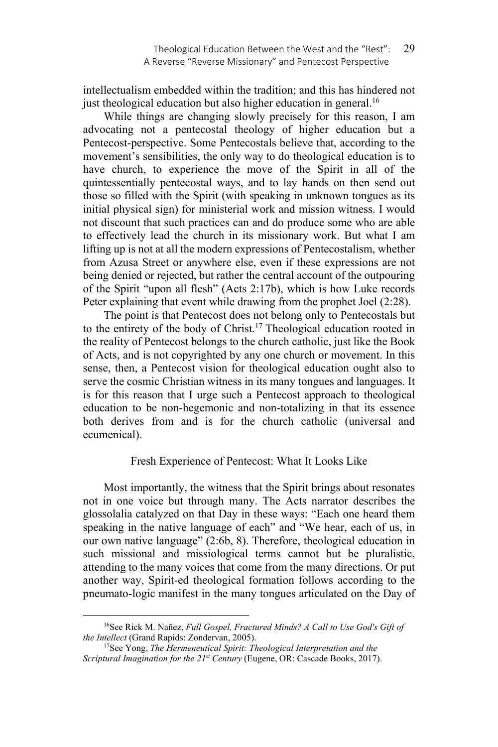intellectualism embedded within the tradition; and this has hindered not just theological education but also higher education in general. 16

While things are changing slowly precisely for this reason, I am advocating not a pentecostal theology of higher education but a Pentecost-perspective. Some Pentecostals believe that, according to the movement's sensibilities, the only way to do theological education is to have church, to experience the move of the Spirit in all of the quintessentially pentecostal ways, and to lay hands on then send out those so filled with the Spirit (with speaking in unknown tongues as its initial physical sign) for ministerial work and mission witness. I would not discount that such practices can and do produce some who are able to effectively lead the church in its missionary work. But what I am lifting up is not at all the modern expressions of Pentecostalism, whether from Azusa Street or anywhere else, even if these expressions are not being denied or rejected, but rather the central account of the outpouring of the Spirit "upon all flesh" (Acts 2:17b), which is how Luke records Peter explaining that event while drawing from the prophet Joel (2:28).

The point is that Pentecost does not belong only to Pentecostals but to the entirety of the body of Christ.17 Theological education rooted in the reality of Pentecost belongs to the church catholic, just like the Book of Acts, and is not copyrighted by any one church or movement. In this sense, then, a Pentecost vision for theological education ought also to serve the cosmic Christian witness in its many tongues and languages. It is for this reason that I urge such a Pentecost approach to theological education to be non-hegemonic and non-totalizing in that its essence both derives from and is for the church catholic (universal and ecumenical).

#### Fresh Experience of Pentecost: What It Looks Like

Most importantly, the witness that the Spirit brings about resonates not in one voice but through many. The Acts narrator describes the glossolalia catalyzed on that Day in these ways: "Each one heard them speaking in the native language of each" and "We hear, each of us, in our own native language" (2:6b, 8). Therefore, theological education in such missional and missiological terms cannot but be pluralistic, attending to the many voices that come from the many directions. Or put another way, Spirit-ed theological formation follows according to the pneumato-logic manifest in the many tongues articulated on the Day of

*Scriptural Imagination for the 21<sup>st</sup> Century (Eugene, OR: Cascade Books, 2017).* 

<sup>&</sup>lt;sup>16</sup>See Rick M. Nañez, *Full Gospel, Fractured Minds? A Call to Use God's Gift of the Intellect* (Grand Rapids: Zondervan, 2005).<br><sup>17</sup>See Yong, *The Hermeneutical Spirit: Theological Interpretation and the*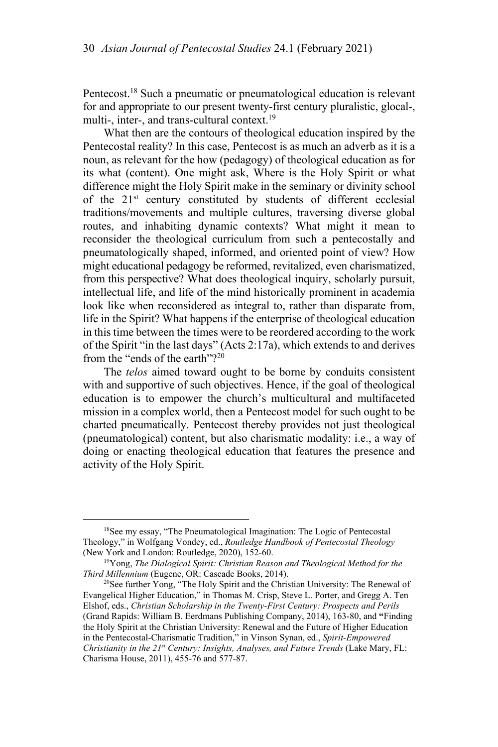Pentecost.18 Such a pneumatic or pneumatological education is relevant for and appropriate to our present twenty-first century pluralistic, glocal-, multi-, inter-, and trans-cultural context.19

What then are the contours of theological education inspired by the Pentecostal reality? In this case, Pentecost is as much an adverb as it is a noun, as relevant for the how (pedagogy) of theological education as for its what (content). One might ask, Where is the Holy Spirit or what difference might the Holy Spirit make in the seminary or divinity school of the 21<sup>st</sup> century constituted by students of different ecclesial traditions/movements and multiple cultures, traversing diverse global routes, and inhabiting dynamic contexts? What might it mean to reconsider the theological curriculum from such a pentecostally and pneumatologically shaped, informed, and oriented point of view? How might educational pedagogy be reformed, revitalized, even charismatized, from this perspective? What does theological inquiry, scholarly pursuit, intellectual life, and life of the mind historically prominent in academia look like when reconsidered as integral to, rather than disparate from, life in the Spirit? What happens if the enterprise of theological education in this time between the times were to be reordered according to the work of the Spirit "in the last days" (Acts 2:17a), which extends to and derives from the "ends of the earth"? $20$ 

The *telos* aimed toward ought to be borne by conduits consistent with and supportive of such objectives. Hence, if the goal of theological education is to empower the church's multicultural and multifaceted mission in a complex world, then a Pentecost model for such ought to be charted pneumatically. Pentecost thereby provides not just theological (pneumatological) content, but also charismatic modality: i.e., a way of doing or enacting theological education that features the presence and activity of the Holy Spirit.

 <sup>18</sup>See my essay, "The Pneumatological Imagination: The Logic of Pentecostal Theology," in Wolfgang Vondey, ed., *Routledge Handbook of Pentecostal Theology*

<sup>(</sup>New York and London: Routledge, 2020), 152-60.<br><sup>19</sup>Yong, *The Dialogical Spirit: Christian Reason and Theological Method for the <i>Third Millennium* (Eugene, OR: Cascade Books, 2014).

<sup>&</sup>lt;sup>20</sup>See further Yong, "The Holy Spirit and the Christian University: The Renewal of Evangelical Higher Education," in Thomas M. Crisp, Steve L. Porter, and Gregg A. Ten Elshof, eds., *Christian Scholarship in the Twenty-First Century: Prospects and Perils* (Grand Rapids: William B. Eerdmans Publishing Company, 2014), 163-80, and **"**Finding the Holy Spirit at the Christian University: Renewal and the Future of Higher Education in the Pentecostal-Charismatic Tradition," in Vinson Synan, ed., *Spirit-Empowered Christianity in the 21st Century: Insights, Analyses, and Future Trends* (Lake Mary, FL: Charisma House, 2011), 455-76 and 577-87.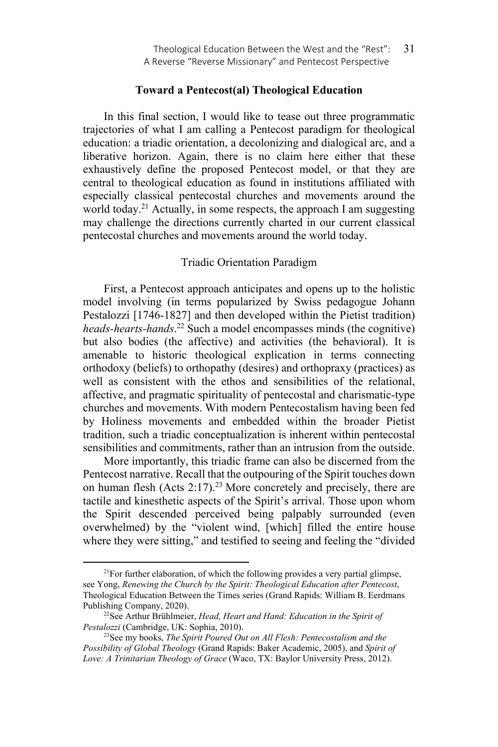## **Toward a Pentecost(al) Theological Education**

In this final section, I would like to tease out three programmatic trajectories of what I am calling a Pentecost paradigm for theological education: a triadic orientation, a decolonizing and dialogical arc, and a liberative horizon. Again, there is no claim here either that these exhaustively define the proposed Pentecost model, or that they are central to theological education as found in institutions affiliated with especially classical pentecostal churches and movements around the world today.<sup>21</sup> Actually, in some respects, the approach I am suggesting may challenge the directions currently charted in our current classical pentecostal churches and movements around the world today.

## Triadic Orientation Paradigm

First, a Pentecost approach anticipates and opens up to the holistic model involving (in terms popularized by Swiss pedagogue Johann Pestalozzi [1746-1827] and then developed within the Pietist tradition) *heads-hearts-hands*. 22 Such a model encompasses minds (the cognitive) but also bodies (the affective) and activities (the behavioral). It is amenable to historic theological explication in terms connecting orthodoxy (beliefs) to orthopathy (desires) and orthopraxy (practices) as well as consistent with the ethos and sensibilities of the relational, affective, and pragmatic spirituality of pentecostal and charismatic-type churches and movements. With modern Pentecostalism having been fed by Holiness movements and embedded within the broader Pietist tradition, such a triadic conceptualization is inherent within pentecostal sensibilities and commitments, rather than an intrusion from the outside.

More importantly, this triadic frame can also be discerned from the Pentecost narrative. Recall that the outpouring of the Spirit touches down on human flesh (Acts 2:17).<sup>23</sup> More concretely and precisely, there are tactile and kinesthetic aspects of the Spirit's arrival. Those upon whom the Spirit descended perceived being palpably surrounded (even overwhelmed) by the "violent wind, [which] filled the entire house where they were sitting," and testified to seeing and feeling the "divided

 $2^{1}$ For further elaboration, of which the following provides a very partial glimpse, see Yong, *Renewing the Church by the Spirit: Theological Education after Pentecost*, Theological Education Between the Times series (Grand Rapids: William B. Eerdmans Publishing Company, 2020). 22See Arthur Brühlmeier, *Head, Heart and Hand: Education in the Spirit of* 

*Pestalozzi* (Cambridge, UK: Sophia, 2010).<br><sup>23</sup>See my books, *The Spirit Poured Out on All Flesh: Pentecostalism and the* 

*Possibility of Global Theology* (Grand Rapids: Baker Academic, 2005), and *Spirit of Love: A Trinitarian Theology of Grace* (Waco, TX: Baylor University Press, 2012).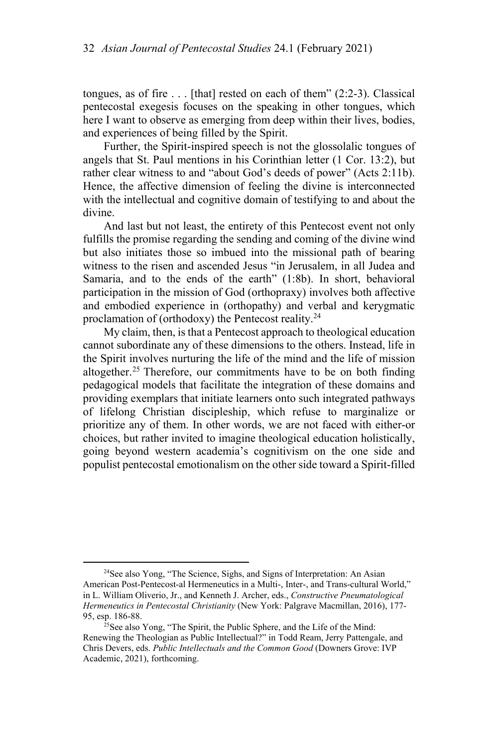tongues, as of fire  $\dots$  [that] rested on each of them" (2:2-3). Classical pentecostal exegesis focuses on the speaking in other tongues, which here I want to observe as emerging from deep within their lives, bodies, and experiences of being filled by the Spirit.

Further, the Spirit-inspired speech is not the glossolalic tongues of angels that St. Paul mentions in his Corinthian letter (1 Cor. 13:2), but rather clear witness to and "about God's deeds of power" (Acts 2:11b). Hence, the affective dimension of feeling the divine is interconnected with the intellectual and cognitive domain of testifying to and about the divine.

And last but not least, the entirety of this Pentecost event not only fulfills the promise regarding the sending and coming of the divine wind but also initiates those so imbued into the missional path of bearing witness to the risen and ascended Jesus "in Jerusalem, in all Judea and Samaria, and to the ends of the earth" (1:8b). In short, behavioral participation in the mission of God (orthopraxy) involves both affective and embodied experience in (orthopathy) and verbal and kerygmatic proclamation of (orthodoxy) the Pentecost reality.24

My claim, then, is that a Pentecost approach to theological education cannot subordinate any of these dimensions to the others. Instead, life in the Spirit involves nurturing the life of the mind and the life of mission altogether.<sup>25</sup> Therefore, our commitments have to be on both finding pedagogical models that facilitate the integration of these domains and providing exemplars that initiate learners onto such integrated pathways of lifelong Christian discipleship, which refuse to marginalize or prioritize any of them. In other words, we are not faced with either-or choices, but rather invited to imagine theological education holistically, going beyond western academia's cognitivism on the one side and populist pentecostal emotionalism on the other side toward a Spirit-filled

 <sup>24</sup>See also Yong, "The Science, Sighs, and Signs of Interpretation: An Asian American Post-Pentecost-al Hermeneutics in a Multi-, Inter-, and Trans-cultural World," in L. William Oliverio, Jr., and Kenneth J. Archer, eds., *Constructive Pneumatological Hermeneutics in Pentecostal Christianity* (New York: Palgrave Macmillan, 2016), 177-95, esp. 186-88.

<sup>&</sup>lt;sup>25</sup>See also Yong, "The Spirit, the Public Sphere, and the Life of the Mind: Renewing the Theologian as Public Intellectual?" in Todd Ream, Jerry Pattengale, and Chris Devers, eds. *Public Intellectuals and the Common Good* (Downers Grove: IVP Academic, 2021), forthcoming.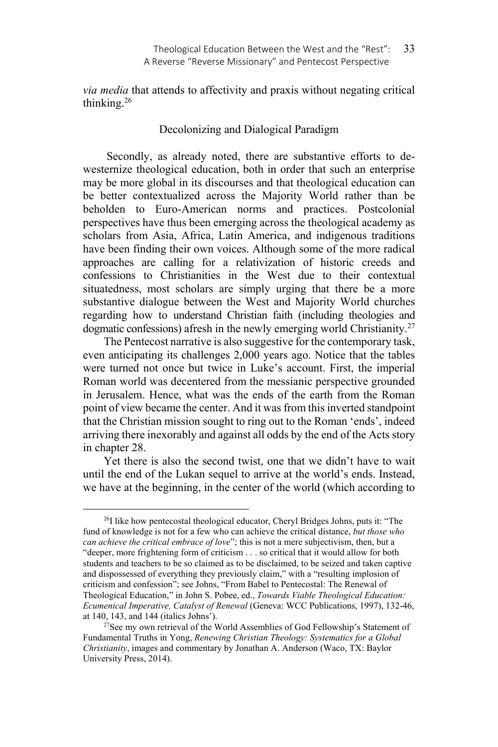*via media* that attends to affectivity and praxis without negating critical thinking.26

# Decolonizing and Dialogical Paradigm

 Secondly, as already noted, there are substantive efforts to dewesternize theological education, both in order that such an enterprise may be more global in its discourses and that theological education can be better contextualized across the Majority World rather than be beholden to Euro-American norms and practices. Postcolonial perspectives have thus been emerging across the theological academy as scholars from Asia, Africa, Latin America, and indigenous traditions have been finding their own voices. Although some of the more radical approaches are calling for a relativization of historic creeds and confessions to Christianities in the West due to their contextual situatedness, most scholars are simply urging that there be a more substantive dialogue between the West and Majority World churches regarding how to understand Christian faith (including theologies and dogmatic confessions) afresh in the newly emerging world Christianity.27

The Pentecost narrative is also suggestive for the contemporary task, even anticipating its challenges 2,000 years ago. Notice that the tables were turned not once but twice in Luke's account. First, the imperial Roman world was decentered from the messianic perspective grounded in Jerusalem. Hence, what was the ends of the earth from the Roman point of view became the center. And it was from this inverted standpoint that the Christian mission sought to ring out to the Roman 'ends', indeed arriving there inexorably and against all odds by the end of the Acts story in chapter 28.

Yet there is also the second twist, one that we didn't have to wait until the end of the Lukan sequel to arrive at the world's ends. Instead, we have at the beginning, in the center of the world (which according to

 $26I$  like how pentecostal theological educator, Cheryl Bridges Johns, puts it: "The fund of knowledge is not for a few who can achieve the critical distance, *but those who can achieve the critical embrace of love*"; this is not a mere subjectivism, then, but a "deeper, more frightening form of criticism . . . so critical that it would allow for both students and teachers to be so claimed as to be disclaimed, to be seized and taken captive and dispossessed of everything they previously claim," with a "resulting implosion of criticism and confession"; see Johns, "From Babel to Pentecostal: The Renewal of Theological Education," in John S. Pobee, ed., *Towards Viable Theological Education: Ecumenical Imperative, Catalyst of Renewal* (Geneva: WCC Publications, 1997), 132-46, at 140, 143, and 144 (italics Johns').

<sup>&</sup>lt;sup>27</sup>See my own retrieval of the World Assemblies of God Fellowship's Statement of Fundamental Truths in Yong, *Renewing Christian Theology: Systematics for a Global Christianity*, images and commentary by Jonathan A. Anderson (Waco, TX: Baylor University Press, 2014).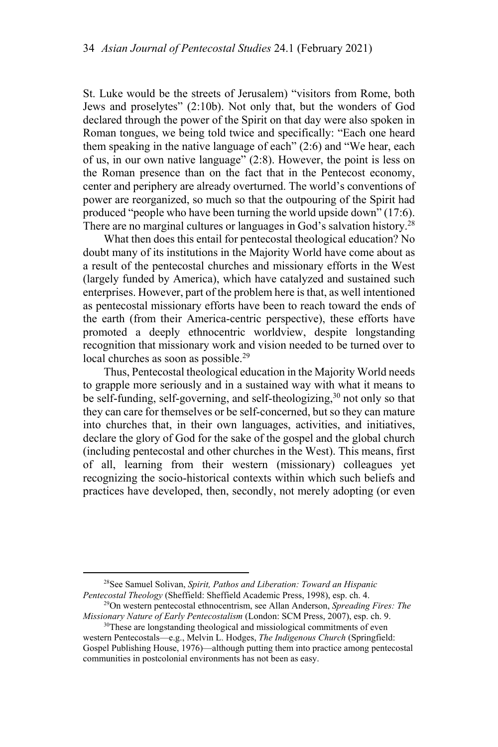St. Luke would be the streets of Jerusalem) "visitors from Rome, both Jews and proselytes" (2:10b). Not only that, but the wonders of God declared through the power of the Spirit on that day were also spoken in Roman tongues, we being told twice and specifically: "Each one heard them speaking in the native language of each" (2:6) and "We hear, each of us, in our own native language" (2:8). However, the point is less on the Roman presence than on the fact that in the Pentecost economy, center and periphery are already overturned. The world's conventions of power are reorganized, so much so that the outpouring of the Spirit had produced "people who have been turning the world upside down" (17:6). There are no marginal cultures or languages in God's salvation history.<sup>28</sup>

What then does this entail for pentecostal theological education? No doubt many of its institutions in the Majority World have come about as a result of the pentecostal churches and missionary efforts in the West (largely funded by America), which have catalyzed and sustained such enterprises. However, part of the problem here is that, as well intentioned as pentecostal missionary efforts have been to reach toward the ends of the earth (from their America-centric perspective), these efforts have promoted a deeply ethnocentric worldview, despite longstanding recognition that missionary work and vision needed to be turned over to local churches as soon as possible.<sup>29</sup>

Thus, Pentecostal theological education in the Majority World needs to grapple more seriously and in a sustained way with what it means to be self-funding, self-governing, and self-theologizing,<sup>30</sup> not only so that they can care for themselves or be self-concerned, but so they can mature into churches that, in their own languages, activities, and initiatives, declare the glory of God for the sake of the gospel and the global church (including pentecostal and other churches in the West). This means, first of all, learning from their western (missionary) colleagues yet recognizing the socio-historical contexts within which such beliefs and practices have developed, then, secondly, not merely adopting (or even

 <sup>28</sup>See Samuel Solivan, *Spirit, Pathos and Liberation: Toward an Hispanic* 

*Pentecostal Theology (Sheffield: Sheffield Academic Press, 1998), esp. ch. 4.* <sup>29</sup>On western pentecostal ethnocentrism, see Allan Anderson, *Spreading Fires: The Missionary Nature of Early Pentecostalism (London: SCM Pre* 

<sup>&</sup>lt;sup>30</sup>These are longstanding theological and missiological commitments of even western Pentecostals—e.g., Melvin L. Hodges, *The Indigenous Church* (Springfield: Gospel Publishing House, 1976)—although putting them into practice among pentecostal communities in postcolonial environments has not been as easy.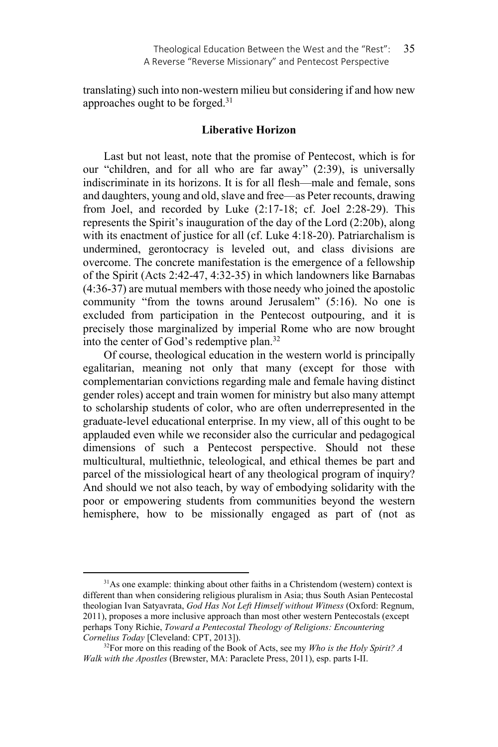translating) such into non-western milieu but considering if and how new approaches ought to be forged.31

## **Liberative Horizon**

Last but not least, note that the promise of Pentecost, which is for our "children, and for all who are far away" (2:39), is universally indiscriminate in its horizons. It is for all flesh—male and female, sons and daughters, young and old, slave and free—as Peter recounts, drawing from Joel, and recorded by Luke (2:17-18; cf. Joel 2:28-29). This represents the Spirit's inauguration of the day of the Lord (2:20b), along with its enactment of justice for all (cf. Luke 4:18-20). Patriarchalism is undermined, gerontocracy is leveled out, and class divisions are overcome. The concrete manifestation is the emergence of a fellowship of the Spirit (Acts 2:42-47, 4:32-35) in which landowners like Barnabas (4:36-37) are mutual members with those needy who joined the apostolic community "from the towns around Jerusalem" (5:16). No one is excluded from participation in the Pentecost outpouring, and it is precisely those marginalized by imperial Rome who are now brought into the center of God's redemptive plan.32

Of course, theological education in the western world is principally egalitarian, meaning not only that many (except for those with complementarian convictions regarding male and female having distinct gender roles) accept and train women for ministry but also many attempt to scholarship students of color, who are often underrepresented in the graduate-level educational enterprise. In my view, all of this ought to be applauded even while we reconsider also the curricular and pedagogical dimensions of such a Pentecost perspective. Should not these multicultural, multiethnic, teleological, and ethical themes be part and parcel of the missiological heart of any theological program of inquiry? And should we not also teach, by way of embodying solidarity with the poor or empowering students from communities beyond the western hemisphere, how to be missionally engaged as part of (not as

<sup>&</sup>lt;sup>31</sup>As one example: thinking about other faiths in a Christendom (western) context is different than when considering religious pluralism in Asia; thus South Asian Pentecostal theologian Ivan Satyavrata, *God Has Not Left Himself without Witness* (Oxford: Regnum, 2011), proposes a more inclusive approach than most other western Pentecostals (except perhaps Tony Richie, *Toward a Pentecostal Theology of Religions: Encountering Cornelius Today* [Cleveland: CPT, 2013]).

<sup>32</sup>For more on this reading of the Book of Acts, see my *Who is the Holy Spirit? A Walk with the Apostles* (Brewster, MA: Paraclete Press, 2011), esp. parts I-II.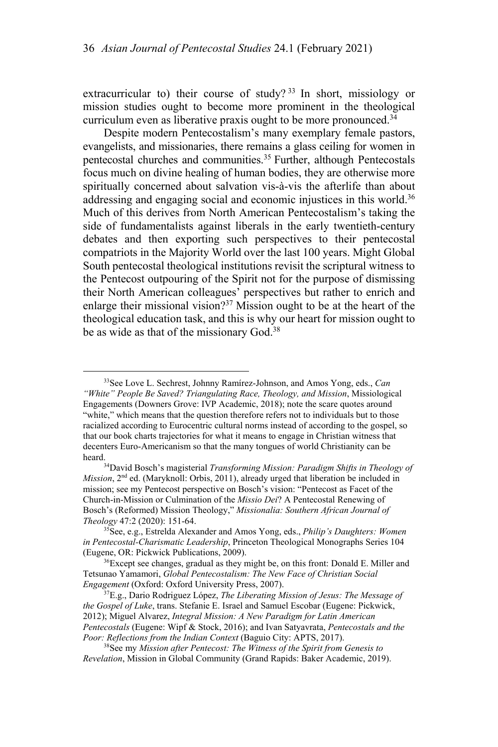extracurricular to) their course of study?<sup>33</sup> In short, missiology or mission studies ought to become more prominent in the theological curriculum even as liberative praxis ought to be more pronounced.<sup>34</sup>

Despite modern Pentecostalism's many exemplary female pastors, evangelists, and missionaries, there remains a glass ceiling for women in pentecostal churches and communities.<sup>35</sup> Further, although Pentecostals focus much on divine healing of human bodies, they are otherwise more spiritually concerned about salvation vis-à-vis the afterlife than about addressing and engaging social and economic injustices in this world.<sup>36</sup> Much of this derives from North American Pentecostalism's taking the side of fundamentalists against liberals in the early twentieth-century debates and then exporting such perspectives to their pentecostal compatriots in the Majority World over the last 100 years. Might Global South pentecostal theological institutions revisit the scriptural witness to the Pentecost outpouring of the Spirit not for the purpose of dismissing their North American colleagues' perspectives but rather to enrich and enlarge their missional vision?<sup>37</sup> Mission ought to be at the heart of the theological education task, and this is why our heart for mission ought to be as wide as that of the missionary God.<sup>38</sup>

 <sup>33</sup>See Love L. Sechrest, Johnny Ramírez-Johnson, and Amos Yong, eds., *Can "White" People Be Saved? Triangulating Race, Theology, and Mission*, Missiological Engagements (Downers Grove: IVP Academic, 2018); note the scare quotes around "white," which means that the question therefore refers not to individuals but to those racialized according to Eurocentric cultural norms instead of according to the gospel, so that our book charts trajectories for what it means to engage in Christian witness that decenters Euro-Americanism so that the many tongues of world Christianity can be heard. 34David Bosch's magisterial *Transforming Mission: Paradigm Shifts in Theology of* 

*Mission*, 2nd ed. (Maryknoll: Orbis, 2011), already urged that liberation be included in mission; see my Pentecost perspective on Bosch's vision: "Pentecost as Facet of the Church-in-Mission or Culmination of the *Missio Dei*? A Pentecostal Renewing of Bosch's (Reformed) Mission Theology," *Missionalia: Southern African Journal of Theology* 47:2 (2020): 151-64.<br><sup>35</sup>See, e.g., Estrelda Alexander and Amos Yong, eds., *Philip's Daughters: Women* 

*in Pentecostal-Charismatic Leadership*, Princeton Theological Monographs Series 104 (Eugene, OR: Pickwick Publications, 2009).<br><sup>36</sup>Except see changes, gradual as they might be, on this front: Donald E. Miller and

Tetsunao Yamamori, *Global Pentecostalism: The New Face of Christian Social Engagement* (Oxford: Oxford University Press, 2007). 37E.g., Dario Rodriguez López, *The Liberating Mission of Jesus: The Message of* 

*the Gospel of Luke*, trans. Stefanie E. Israel and Samuel Escobar (Eugene: Pickwick, 2012); Miguel Alvarez, *Integral Mission: A New Paradigm for Latin American Pentecostals* (Eugene: Wipf & Stock, 2016); and Ivan Satyavrata, *Pentecostals and the Poor: Reflections from the Indian Context* (Baguio City: APTS, 2017).<br><sup>38</sup>See my *Mission after Pentecost: The Witness of the Spirit from Genesis to* 

*Revelation*, Mission in Global Community (Grand Rapids: Baker Academic, 2019).